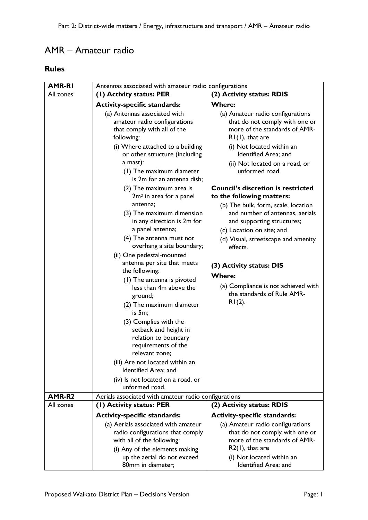## AMR – Amateur radio

## **Rules**

| <b>AMR-RI</b> | Antennas associated with amateur radio configurations                                                                                   |                                                                                                                                   |
|---------------|-----------------------------------------------------------------------------------------------------------------------------------------|-----------------------------------------------------------------------------------------------------------------------------------|
| All zones     | (1) Activity status: PER                                                                                                                | (2) Activity status: RDIS                                                                                                         |
|               | <b>Activity-specific standards:</b>                                                                                                     | <b>Where:</b>                                                                                                                     |
|               | (a) Antennas associated with<br>amateur radio configurations<br>that comply with all of the<br>following:                               | (a) Amateur radio configurations<br>that do not comply with one or<br>more of the standards of AMR-<br>$RI(1)$ , that are         |
|               | (i) Where attached to a building<br>or other structure (including                                                                       | (i) Not located within an<br>Identified Area; and                                                                                 |
|               | a mast):<br>(1) The maximum diameter<br>is 2m for an antenna dish;                                                                      | (ii) Not located on a road, or<br>unformed road.                                                                                  |
|               | (2) The maximum area is<br>2m <sup>2</sup> in area for a panel                                                                          | <b>Council's discretion is restricted</b><br>to the following matters:                                                            |
|               | antenna;<br>(3) The maximum dimension<br>in any direction is 2m for<br>a panel antenna;                                                 | (b) The bulk, form, scale, location<br>and number of antennas, aerials<br>and supporting structures;<br>(c) Location on site; and |
|               | (4) The antenna must not<br>overhang a site boundary;                                                                                   | (d) Visual, streetscape and amenity<br>effects.                                                                                   |
|               | (ii) One pedestal-mounted<br>antenna per site that meets<br>the following:                                                              | (3) Activity status: DIS<br><b>Where:</b>                                                                                         |
|               | (1) The antenna is pivoted<br>less than 4m above the<br>ground;<br>(2) The maximum diameter<br>is 5m;                                   | (a) Compliance is not achieved with<br>the standards of Rule AMR-<br>$R1(2)$ .                                                    |
|               | (3) Complies with the<br>setback and height in<br>relation to boundary<br>requirements of the<br>relevant zone:                         |                                                                                                                                   |
|               | (iii) Are not located within an<br>Identified Area; and                                                                                 |                                                                                                                                   |
|               | (iv) Is not located on a road, or<br>unformed road.                                                                                     |                                                                                                                                   |
| AMR-R2        | Aerials associated with amateur radio configurations                                                                                    |                                                                                                                                   |
| All zones     | (1) Activity status: PER                                                                                                                | (2) Activity status: RDIS                                                                                                         |
|               | <b>Activity-specific standards:</b>                                                                                                     | <b>Activity-specific standards:</b>                                                                                               |
|               | (a) Aerials associated with amateur<br>radio configurations that comply<br>with all of the following:<br>(i) Any of the elements making | (a) Amateur radio configurations<br>that do not comply with one or<br>more of the standards of AMR-<br>$R2(1)$ , that are         |
|               | up the aerial do not exceed<br>80mm in diameter;                                                                                        | (i) Not located within an<br>Identified Area; and                                                                                 |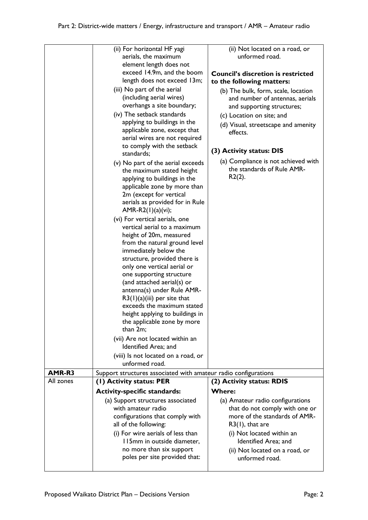|                     | (ii) For horizontal HF yagi                                     | (ii) Not located on a road, or                                  |
|---------------------|-----------------------------------------------------------------|-----------------------------------------------------------------|
|                     | aerials, the maximum                                            | unformed road.                                                  |
|                     | element length does not                                         |                                                                 |
|                     | exceed 14.9m, and the boom                                      | <b>Council's discretion is restricted</b>                       |
|                     | length does not exceed 13m;                                     | to the following matters:                                       |
|                     | (iii) No part of the aerial                                     | (b) The bulk, form, scale, location                             |
|                     | (including aerial wires)                                        | and number of antennas, aerials                                 |
|                     | overhangs a site boundary;                                      | and supporting structures;                                      |
|                     | (iv) The setback standards                                      | (c) Location on site; and                                       |
|                     | applying to buildings in the                                    | (d) Visual, streetscape and amenity                             |
|                     | applicable zone, except that                                    | effects.                                                        |
|                     | aerial wires are not required                                   |                                                                 |
|                     | to comply with the setback                                      |                                                                 |
|                     | standards;                                                      | (3) Activity status: DIS                                        |
|                     | (v) No part of the aerial exceeds                               | (a) Compliance is not achieved with                             |
|                     | the maximum stated height                                       | the standards of Rule AMR-                                      |
|                     | applying to buildings in the                                    | $R2(2)$ .                                                       |
|                     | applicable zone by more than                                    |                                                                 |
|                     | 2m (except for vertical                                         |                                                                 |
|                     | aerials as provided for in Rule                                 |                                                                 |
|                     | $AMR-R2(1)(a)(vi);$                                             |                                                                 |
|                     | (vi) For vertical aerials, one                                  |                                                                 |
|                     | vertical aerial to a maximum                                    |                                                                 |
|                     | height of 20m, measured                                         |                                                                 |
|                     | from the natural ground level                                   |                                                                 |
|                     | immediately below the                                           |                                                                 |
|                     | structure, provided there is                                    |                                                                 |
|                     | only one vertical aerial or                                     |                                                                 |
|                     | one supporting structure                                        |                                                                 |
|                     |                                                                 |                                                                 |
|                     | (and attached aerial(s) or                                      |                                                                 |
|                     | antenna(s) under Rule AMR-                                      |                                                                 |
|                     | $R3(1)(a)(iii)$ per site that                                   |                                                                 |
|                     | exceeds the maximum stated                                      |                                                                 |
|                     | height applying to buildings in                                 |                                                                 |
|                     | the applicable zone by more                                     |                                                                 |
|                     | than 2m;                                                        |                                                                 |
|                     | (vii) Are not located within an                                 |                                                                 |
|                     | Identified Area; and                                            |                                                                 |
|                     | (viii) Is not located on a road, or                             |                                                                 |
|                     | unformed road.                                                  |                                                                 |
| AMR-R3<br>All zones | Support structures associated with amateur radio configurations |                                                                 |
|                     | (1) Activity status: PER                                        | (2) Activity status: RDIS<br><b>Where:</b>                      |
|                     | <b>Activity-specific standards:</b>                             |                                                                 |
|                     | (a) Support structures associated<br>with amateur radio         | (a) Amateur radio configurations                                |
|                     |                                                                 | that do not comply with one or<br>more of the standards of AMR- |
|                     | configurations that comply with<br>all of the following:        | $R3(1)$ , that are                                              |
|                     |                                                                 |                                                                 |
|                     | (i) For wire aerials of less than<br>II5mm in outside diameter, | (i) Not located within an<br>Identified Area; and               |
|                     | no more than six support                                        |                                                                 |
|                     | poles per site provided that:                                   | (ii) Not located on a road, or<br>unformed road.                |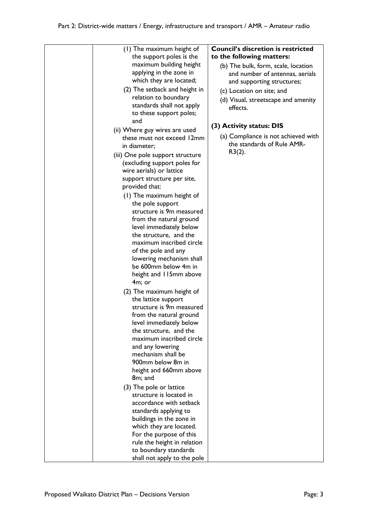| (1) The maximum height of<br>the support poles is the | <b>Council's discretion is restricted</b><br>to the following matters: |
|-------------------------------------------------------|------------------------------------------------------------------------|
| maximum building height                               | (b) The bulk, form, scale, location                                    |
| applying in the zone in                               | and number of antennas, aerials                                        |
| which they are located;                               | and supporting structures;                                             |
| (2) The setback and height in                         |                                                                        |
| relation to boundary                                  | (c) Location on site; and                                              |
| standards shall not apply                             | (d) Visual, streetscape and amenity                                    |
| to these support poles;                               | effects.                                                               |
| and                                                   |                                                                        |
| (ii) Where guy wires are used                         | (3) Activity status: DIS                                               |
| these must not exceed 12mm                            | (a) Compliance is not achieved with                                    |
| in diameter;                                          | the standards of Rule AMR-                                             |
| (iii) One pole support structure                      | $R3(2)$ .                                                              |
| (excluding support poles for                          |                                                                        |
| wire aerials) or lattice                              |                                                                        |
| support structure per site,                           |                                                                        |
| provided that:                                        |                                                                        |
| (1) The maximum height of                             |                                                                        |
| the pole support                                      |                                                                        |
| structure is 9m measured                              |                                                                        |
| from the natural ground                               |                                                                        |
| level immediately below                               |                                                                        |
| the structure, and the                                |                                                                        |
| maximum inscribed circle                              |                                                                        |
| of the pole and any                                   |                                                                        |
| lowering mechanism shall                              |                                                                        |
| be 600mm below 4m in                                  |                                                                        |
| height and 115mm above                                |                                                                        |
| 4m; or                                                |                                                                        |
| (2) The maximum height of                             |                                                                        |
| the lattice support<br>structure is 9m measured       |                                                                        |
| from the natural ground                               |                                                                        |
| level immediately below                               |                                                                        |
| the structure, and the                                |                                                                        |
| maximum inscribed circle                              |                                                                        |
| and any lowering                                      |                                                                        |
| mechanism shall be                                    |                                                                        |
| 900mm below 8m in                                     |                                                                        |
| height and 660mm above                                |                                                                        |
| 8m; and                                               |                                                                        |
| (3) The pole or lattice                               |                                                                        |
| structure is located in                               |                                                                        |
| accordance with setback                               |                                                                        |
| standards applying to                                 |                                                                        |
| buildings in the zone in                              |                                                                        |
| which they are located.                               |                                                                        |
| For the purpose of this                               |                                                                        |
| rule the height in relation                           |                                                                        |
| to boundary standards<br>shall not apply to the pole  |                                                                        |
|                                                       |                                                                        |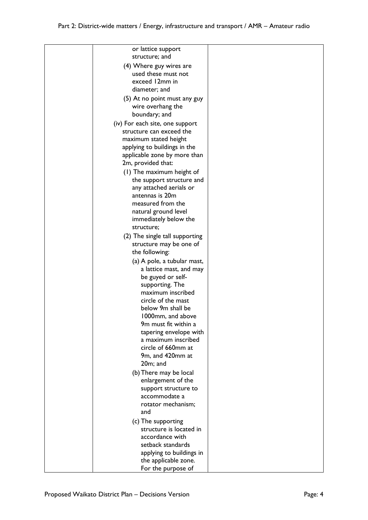| or lattice support<br>structure; and                        |  |
|-------------------------------------------------------------|--|
|                                                             |  |
| (4) Where guy wires are<br>used these must not              |  |
| exceed 12mm in                                              |  |
| diameter; and                                               |  |
|                                                             |  |
| (5) At no point must any guy                                |  |
| wire overhang the<br>boundary; and                          |  |
|                                                             |  |
| (iv) For each site, one support<br>structure can exceed the |  |
| maximum stated height                                       |  |
| applying to buildings in the                                |  |
| applicable zone by more than                                |  |
| 2m, provided that:                                          |  |
| (1) The maximum height of                                   |  |
| the support structure and                                   |  |
| any attached aerials or                                     |  |
| antennas is 20m                                             |  |
| measured from the                                           |  |
| natural ground level                                        |  |
| immediately below the                                       |  |
| structure;                                                  |  |
| (2) The single tall supporting                              |  |
| structure may be one of                                     |  |
| the following:                                              |  |
| (a) A pole, a tubular mast,                                 |  |
| a lattice mast, and may                                     |  |
| be guyed or self-                                           |  |
| supporting. The                                             |  |
| maximum inscribed                                           |  |
| circle of the mast<br>below 9m shall be                     |  |
| 1000mm, and above                                           |  |
| 9m must fit within a                                        |  |
| tapering envelope with                                      |  |
| a maximum inscribed                                         |  |
| circle of 660mm at                                          |  |
| 9m, and 420mm at                                            |  |
| 20m; and                                                    |  |
| (b) There may be local                                      |  |
| enlargement of the                                          |  |
| support structure to                                        |  |
| accommodate a                                               |  |
| rotator mechanism;                                          |  |
| and                                                         |  |
| (c) The supporting                                          |  |
| structure is located in                                     |  |
| accordance with                                             |  |
| setback standards                                           |  |
| applying to buildings in                                    |  |
| the applicable zone.                                        |  |
| For the purpose of                                          |  |